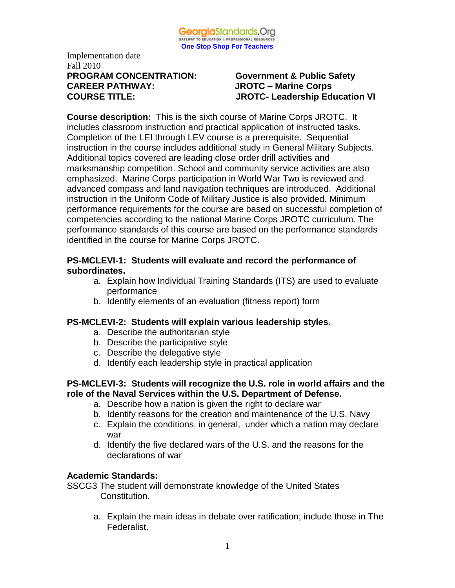

# Implementation date Fall 2010 **PROGRAM CONCENTRATION: Government & Public Safety CAREER PATHWAY: JROTC – Marine Corps**

# **COURSE TITLE: JROTC- Leadership Education VI**

**Course description:** This is the sixth course of Marine Corps JROTC. It includes classroom instruction and practical application of instructed tasks. Completion of the LEI through LEV course is a prerequisite. Sequential instruction in the course includes additional study in General Military Subjects. Additional topics covered are leading close order drill activities and marksmanship competition. School and community service activities are also emphasized. Marine Corps participation in World War Two is reviewed and advanced compass and land navigation techniques are introduced. Additional instruction in the Uniform Code of Military Justice is also provided. Minimum performance requirements for the course are based on successful completion of competencies according to the national Marine Corps JROTC curriculum. The performance standards of this course are based on the performance standards identified in the course for Marine Corps JROTC.

#### **PS-MCLEVI-1: Students will evaluate and record the performance of subordinates.**

- a. Explain how Individual Training Standards (ITS) are used to evaluate performance
- b. Identify elements of an evaluation (fitness report) form

# **PS-MCLEVI-2: Students will explain various leadership styles.**

- a. Describe the authoritarian style
- b. Describe the participative style
- c. Describe the delegative style
- d. Identify each leadership style in practical application

#### **PS-MCLEVI-3: Students will recognize the U.S. role in world affairs and the role of the Naval Services within the U.S. Department of Defense.**

- a. Describe how a nation is given the right to declare war
- b. Identify reasons for the creation and maintenance of the U.S. Navy
- c. Explain the conditions, in general, under which a nation may declare war
- d. Identify the five declared wars of the U.S. and the reasons for the declarations of war

# **Academic Standards:**

SSCG3 The student will demonstrate knowledge of the United States Constitution.

a. Explain the main ideas in debate over ratification; include those in The Federalist.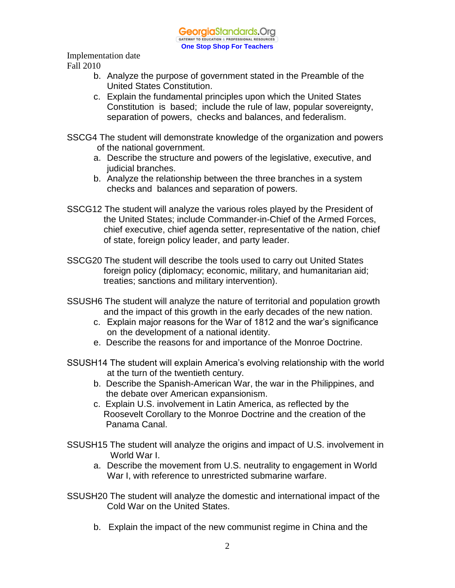GeorgiaStandards.Org GATEWAY TO EDUCATION & PROFESSIONAL RESOURCE **One Stop Shop For Teachers**

Implementation date Fall 2010

- b. Analyze the purpose of government stated in the Preamble of the United States Constitution.
- c. Explain the fundamental principles upon which the United States Constitution is based; include the rule of law, popular sovereignty, separation of powers, checks and balances, and federalism.
- SSCG4 The student will demonstrate knowledge of the organization and powers of the national government.
	- a. Describe the structure and powers of the legislative, executive, and judicial branches.
	- b. Analyze the relationship between the three branches in a system checks and balances and separation of powers.
- SSCG12 The student will analyze the various roles played by the President of the United States; include Commander-in-Chief of the Armed Forces, chief executive, chief agenda setter, representative of the nation, chief of state, foreign policy leader, and party leader.
- SSCG20 The student will describe the tools used to carry out United States foreign policy (diplomacy; economic, military, and humanitarian aid; treaties; sanctions and military intervention).
- SSUSH6 The student will analyze the nature of territorial and population growth and the impact of this growth in the early decades of the new nation.
	- c. Explain major reasons for the War of 1812 and the war's significance on the development of a national identity.
	- e. Describe the reasons for and importance of the Monroe Doctrine.
- SSUSH14 The student will explain America's evolving relationship with the world at the turn of the twentieth century.
	- b. Describe the Spanish-American War, the war in the Philippines, and the debate over American expansionism.
	- c. Explain U.S. involvement in Latin America, as reflected by the Roosevelt Corollary to the Monroe Doctrine and the creation of the Panama Canal.
- SSUSH15 The student will analyze the origins and impact of U.S. involvement in World War I.
	- a. Describe the movement from U.S. neutrality to engagement in World War I, with reference to unrestricted submarine warfare.
- SSUSH20 The student will analyze the domestic and international impact of the Cold War on the United States.
	- b. Explain the impact of the new communist regime in China and the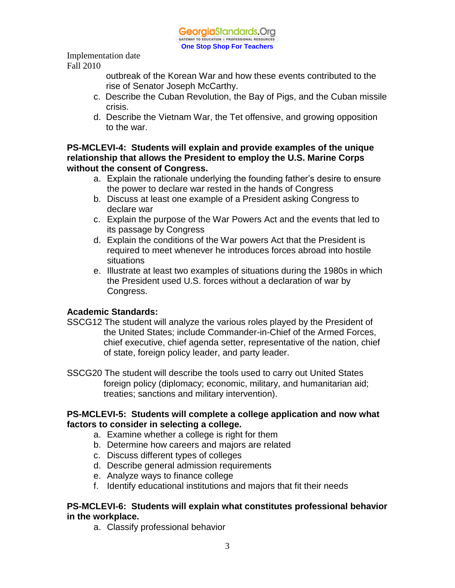

> outbreak of the Korean War and how these events contributed to the rise of Senator Joseph McCarthy.

- c. Describe the Cuban Revolution, the Bay of Pigs, and the Cuban missile crisis.
- d. Describe the Vietnam War, the Tet offensive, and growing opposition to the war.

**PS-MCLEVI-4: Students will explain and provide examples of the unique relationship that allows the President to employ the U.S. Marine Corps without the consent of Congress.**

- a. Explain the rationale underlying the founding father's desire to ensure the power to declare war rested in the hands of Congress
- b. Discuss at least one example of a President asking Congress to declare war
- c. Explain the purpose of the War Powers Act and the events that led to its passage by Congress
- d. Explain the conditions of the War powers Act that the President is required to meet whenever he introduces forces abroad into hostile situations
- e. Illustrate at least two examples of situations during the 1980s in which the President used U.S. forces without a declaration of war by Congress.

# **Academic Standards:**

- SSCG12 The student will analyze the various roles played by the President of the United States; include Commander-in-Chief of the Armed Forces, chief executive, chief agenda setter, representative of the nation, chief of state, foreign policy leader, and party leader.
- SSCG20 The student will describe the tools used to carry out United States foreign policy (diplomacy; economic, military, and humanitarian aid; treaties; sanctions and military intervention).

#### **PS-MCLEVI-5: Students will complete a college application and now what factors to consider in selecting a college.**

- a. Examine whether a college is right for them
- b. Determine how careers and majors are related
- c. Discuss different types of colleges
- d. Describe general admission requirements
- e. Analyze ways to finance college
- f. Identify educational institutions and majors that fit their needs

#### **PS-MCLEVI-6: Students will explain what constitutes professional behavior in the workplace.**

a. Classify professional behavior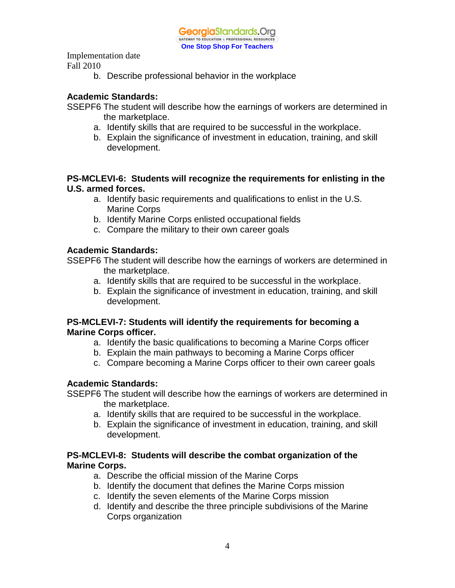b. Describe professional behavior in the workplace

#### **Academic Standards:**

SSEPF6 The student will describe how the earnings of workers are determined in the marketplace.

- a. Identify skills that are required to be successful in the workplace.
- b. Explain the significance of investment in education, training, and skill development.

#### **PS-MCLEVI-6: Students will recognize the requirements for enlisting in the U.S. armed forces.**

- a. Identify basic requirements and qualifications to enlist in the U.S. Marine Corps
- b. Identify Marine Corps enlisted occupational fields
- c. Compare the military to their own career goals

#### **Academic Standards:**

SSEPF6 The student will describe how the earnings of workers are determined in the marketplace.

- a. Identify skills that are required to be successful in the workplace.
- b. Explain the significance of investment in education, training, and skill development.

#### **PS-MCLEVI-7: Students will identify the requirements for becoming a Marine Corps officer.**

- a. Identify the basic qualifications to becoming a Marine Corps officer
- b. Explain the main pathways to becoming a Marine Corps officer
- c. Compare becoming a Marine Corps officer to their own career goals

#### **Academic Standards:**

SSEPF6 The student will describe how the earnings of workers are determined in the marketplace.

- a. Identify skills that are required to be successful in the workplace.
- b. Explain the significance of investment in education, training, and skill development.

#### **PS-MCLEVI-8: Students will describe the combat organization of the Marine Corps.**

- a. Describe the official mission of the Marine Corps
- b. Identify the document that defines the Marine Corps mission
- c. Identify the seven elements of the Marine Corps mission
- d. Identify and describe the three principle subdivisions of the Marine Corps organization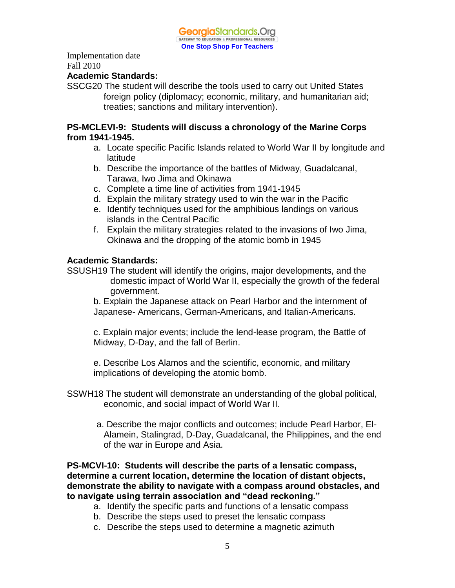

#### **Academic Standards:**

SSCG20 The student will describe the tools used to carry out United States foreign policy (diplomacy; economic, military, and humanitarian aid; treaties; sanctions and military intervention).

#### **PS-MCLEVI-9: Students will discuss a chronology of the Marine Corps from 1941-1945.**

- a. Locate specific Pacific Islands related to World War II by longitude and latitude
- b. Describe the importance of the battles of Midway, Guadalcanal, Tarawa, Iwo Jima and Okinawa
- c. Complete a time line of activities from 1941-1945
- d. Explain the military strategy used to win the war in the Pacific
- e. Identify techniques used for the amphibious landings on various islands in the Central Pacific
- f. Explain the military strategies related to the invasions of Iwo Jima, Okinawa and the dropping of the atomic bomb in 1945

#### **Academic Standards:**

SSUSH19 The student will identify the origins, major developments, and the domestic impact of World War II, especially the growth of the federal government.

b. Explain the Japanese attack on Pearl Harbor and the internment of Japanese- Americans, German-Americans, and Italian-Americans.

c. Explain major events; include the lend-lease program, the Battle of Midway, D-Day, and the fall of Berlin.

e. Describe Los Alamos and the scientific, economic, and military implications of developing the atomic bomb.

- SSWH18 The student will demonstrate an understanding of the global political, economic, and social impact of World War II.
	- a. Describe the major conflicts and outcomes; include Pearl Harbor, El-Alamein, Stalingrad, D-Day, Guadalcanal, the Philippines, and the end of the war in Europe and Asia.

**PS-MCVI-10: Students will describe the parts of a lensatic compass, determine a current location, determine the location of distant objects, demonstrate the ability to navigate with a compass around obstacles, and to navigate using terrain association and "dead reckoning."**

- a. Identify the specific parts and functions of a lensatic compass
- b. Describe the steps used to preset the lensatic compass
- c. Describe the steps used to determine a magnetic azimuth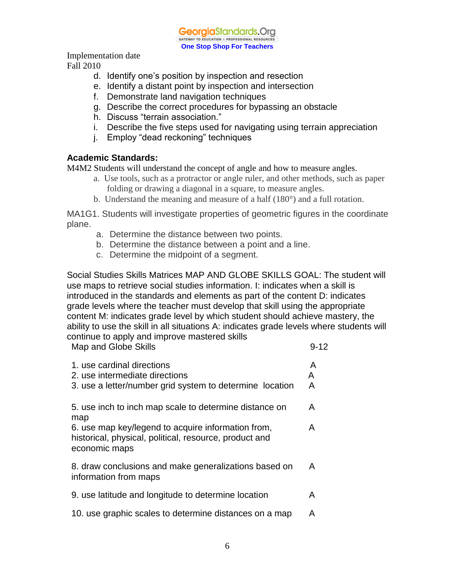

Implementation date

Fall 2010

- d. Identify one's position by inspection and resection
- e. Identify a distant point by inspection and intersection
- f. Demonstrate land navigation techniques
- g. Describe the correct procedures for bypassing an obstacle
- h. Discuss "terrain association."
- i. Describe the five steps used for navigating using terrain appreciation
- j. Employ "dead reckoning" techniques

# **Academic Standards:**

M4M2 Students will understand the concept of angle and how to measure angles.

- a. Use tools, such as a protractor or angle ruler, and other methods, such as paper folding or drawing a diagonal in a square, to measure angles.
- b. Understand the meaning and measure of a half (180°) and a full rotation.

MA1G1. Students will investigate properties of geometric figures in the coordinate plane.

- a. Determine the distance between two points.
- b. Determine the distance between a point and a line.
- c. Determine the midpoint of a segment.

Social Studies Skills Matrices MAP AND GLOBE SKILLS GOAL: The student will use maps to retrieve social studies information. I: indicates when a skill is introduced in the standards and elements as part of the content D: indicates grade levels where the teacher must develop that skill using the appropriate content M: indicates grade level by which student should achieve mastery, the ability to use the skill in all situations A: indicates grade levels where students will continue to apply and improve mastered skills

| Map and Globe Skills                                                                                                          | $9 - 12$    |
|-------------------------------------------------------------------------------------------------------------------------------|-------------|
| 1. use cardinal directions<br>2. use intermediate directions<br>3. use a letter/number grid system to determine location      | A<br>A<br>A |
| 5. use inch to inch map scale to determine distance on<br>map                                                                 | A           |
| 6. use map key/legend to acquire information from,<br>historical, physical, political, resource, product and<br>economic maps | A           |
| 8. draw conclusions and make generalizations based on<br>information from maps                                                | A           |
| 9. use latitude and longitude to determine location                                                                           | A           |
| 10. use graphic scales to determine distances on a map                                                                        | A           |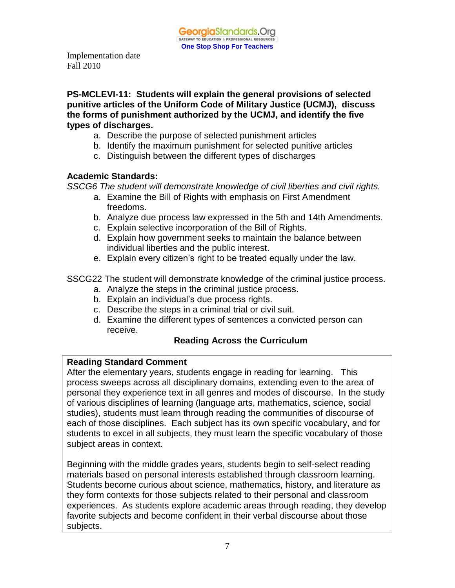**PS-MCLEVI-11: Students will explain the general provisions of selected punitive articles of the Uniform Code of Military Justice (UCMJ), discuss the forms of punishment authorized by the UCMJ, and identify the five types of discharges.**

- a. Describe the purpose of selected punishment articles
- b. Identify the maximum punishment for selected punitive articles
- c. Distinguish between the different types of discharges

#### **Academic Standards:**

*SSCG6 The student will demonstrate knowledge of civil liberties and civil rights.* 

- a. Examine the Bill of Rights with emphasis on First Amendment freedoms.
- b. Analyze due process law expressed in the 5th and 14th Amendments.
- c. Explain selective incorporation of the Bill of Rights.
- d. Explain how government seeks to maintain the balance between individual liberties and the public interest.
- e. Explain every citizen's right to be treated equally under the law.

SSCG22 The student will demonstrate knowledge of the criminal justice process.

- a. Analyze the steps in the criminal justice process.
- b. Explain an individual's due process rights.
- c. Describe the steps in a criminal trial or civil suit.
- d. Examine the different types of sentences a convicted person can receive.

#### **Reading Across the Curriculum**

#### **Reading Standard Comment**

After the elementary years, students engage in reading for learning. This process sweeps across all disciplinary domains, extending even to the area of personal they experience text in all genres and modes of discourse. In the study of various disciplines of learning (language arts, mathematics, science, social studies), students must learn through reading the communities of discourse of each of those disciplines. Each subject has its own specific vocabulary, and for students to excel in all subjects, they must learn the specific vocabulary of those subject areas in context.

Beginning with the middle grades years, students begin to self-select reading materials based on personal interests established through classroom learning. Students become curious about science, mathematics, history, and literature as they form contexts for those subjects related to their personal and classroom experiences. As students explore academic areas through reading, they develop favorite subjects and become confident in their verbal discourse about those subjects.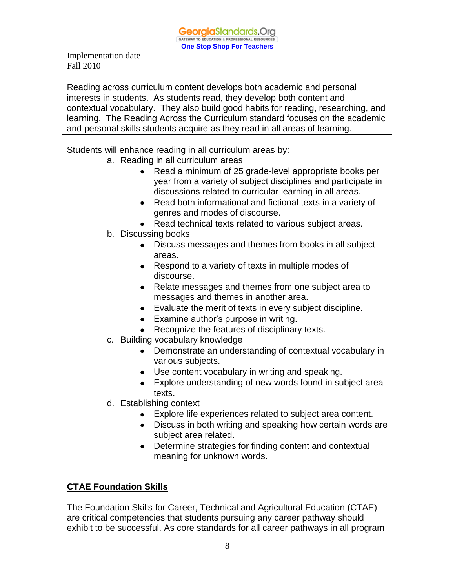Reading across curriculum content develops both academic and personal interests in students. As students read, they develop both content and contextual vocabulary. They also build good habits for reading, researching, and learning. The Reading Across the Curriculum standard focuses on the academic and personal skills students acquire as they read in all areas of learning.

Students will enhance reading in all curriculum areas by:

- a. Reading in all curriculum areas
	- Read a minimum of 25 grade-level appropriate books per year from a variety of subject disciplines and participate in discussions related to curricular learning in all areas.
	- Read both informational and fictional texts in a variety of genres and modes of discourse.
	- Read technical texts related to various subject areas.
- b. Discussing books
	- Discuss messages and themes from books in all subject areas.
	- Respond to a variety of texts in multiple modes of discourse.
	- Relate messages and themes from one subject area to messages and themes in another area.
	- Evaluate the merit of texts in every subject discipline.
	- Examine author's purpose in writing.
	- Recognize the features of disciplinary texts.
- c. Building vocabulary knowledge
	- Demonstrate an understanding of contextual vocabulary in various subjects.
	- Use content vocabulary in writing and speaking.
	- Explore understanding of new words found in subject area texts.
- d. Establishing context
	- Explore life experiences related to subject area content.
	- Discuss in both writing and speaking how certain words are subject area related.
	- Determine strategies for finding content and contextual meaning for unknown words.

# **CTAE Foundation Skills**

The Foundation Skills for Career, Technical and Agricultural Education (CTAE) are critical competencies that students pursuing any career pathway should exhibit to be successful. As core standards for all career pathways in all program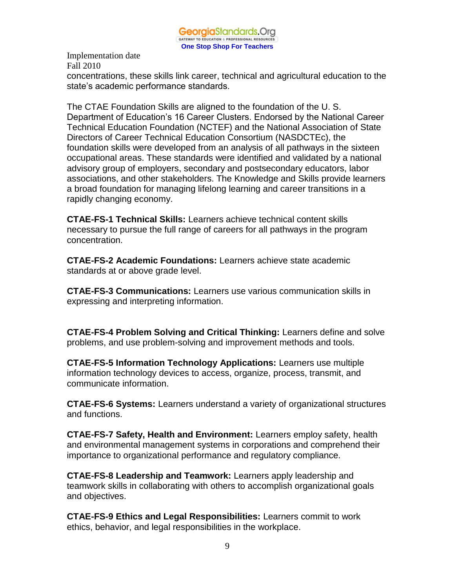concentrations, these skills link career, technical and agricultural education to the state's academic performance standards.

The CTAE Foundation Skills are aligned to the foundation of the U. S. Department of Education's 16 Career Clusters. Endorsed by the National Career Technical Education Foundation (NCTEF) and the National Association of State Directors of Career Technical Education Consortium (NASDCTEc), the foundation skills were developed from an analysis of all pathways in the sixteen occupational areas. These standards were identified and validated by a national advisory group of employers, secondary and postsecondary educators, labor associations, and other stakeholders. The Knowledge and Skills provide learners a broad foundation for managing lifelong learning and career transitions in a rapidly changing economy.

**CTAE-FS-1 Technical Skills:** Learners achieve technical content skills necessary to pursue the full range of careers for all pathways in the program concentration.

**CTAE-FS-2 Academic Foundations:** Learners achieve state academic standards at or above grade level.

**CTAE-FS-3 Communications:** Learners use various communication skills in expressing and interpreting information.

**CTAE-FS-4 Problem Solving and Critical Thinking:** Learners define and solve problems, and use problem-solving and improvement methods and tools.

**CTAE-FS-5 Information Technology Applications:** Learners use multiple information technology devices to access, organize, process, transmit, and communicate information.

**CTAE-FS-6 Systems:** Learners understand a variety of organizational structures and functions.

**CTAE-FS-7 Safety, Health and Environment:** Learners employ safety, health and environmental management systems in corporations and comprehend their importance to organizational performance and regulatory compliance.

**CTAE-FS-8 Leadership and Teamwork:** Learners apply leadership and teamwork skills in collaborating with others to accomplish organizational goals and objectives.

**CTAE-FS-9 Ethics and Legal Responsibilities:** Learners commit to work ethics, behavior, and legal responsibilities in the workplace.